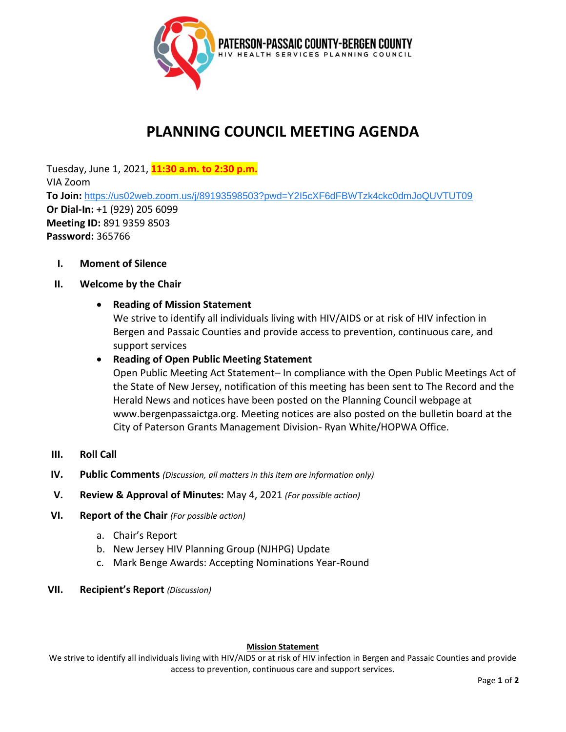

# **PLANNING COUNCIL MEETING AGENDA**

Tuesday, June 1, 2021, **11:30 a.m. to 2:30 p.m.** VIA Zoom **To Join:** <https://us02web.zoom.us/j/89193598503?pwd=Y2I5cXF6dFBWTzk4ckc0dmJoQUVTUT09> **Or Dial-In:** +1 (929) 205 6099 **Meeting ID:** 891 9359 8503 **Password:** 365766

**I. Moment of Silence**

## **II. Welcome by the Chair**

# • **Reading of Mission Statement**

We strive to identify all individuals living with HIV/AIDS or at risk of HIV infection in Bergen and Passaic Counties and provide access to prevention, continuous care, and support services

## • **Reading of Open Public Meeting Statement**

Open Public Meeting Act Statement– In compliance with the Open Public Meetings Act of the State of New Jersey, notification of this meeting has been sent to The Record and the Herald News and notices have been posted on the Planning Council webpage at www.bergenpassaictga.org. Meeting notices are also posted on the bulletin board at the City of Paterson Grants Management Division- Ryan White/HOPWA Office.

- **III. Roll Call**
- **IV. Public Comments** *(Discussion, all matters in this item are information only)*
- **V. Review & Approval of Minutes:** May 4, 2021 *(For possible action)*
- **VI. Report of the Chair** *(For possible action)* 
	- a. Chair's Report
	- b. New Jersey HIV Planning Group (NJHPG) Update
	- c. Mark Benge Awards: Accepting Nominations Year-Round
- **VII. Recipient's Report** *(Discussion)*

#### **Mission Statement**

We strive to identify all individuals living with HIV/AIDS or at risk of HIV infection in Bergen and Passaic Counties and provide access to prevention, continuous care and support services.